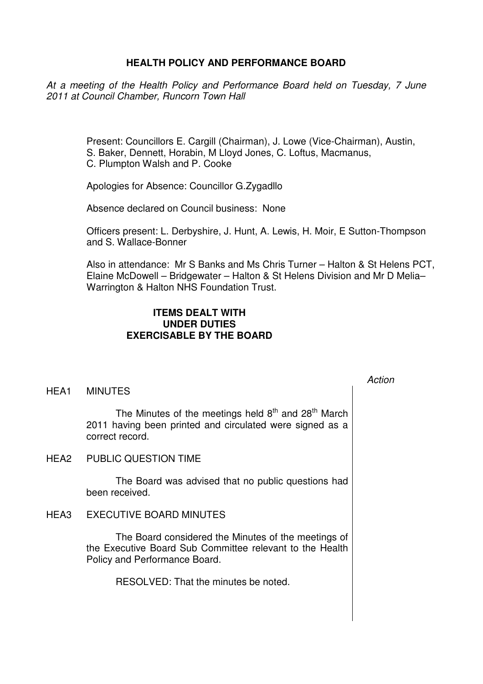## **HEALTH POLICY AND PERFORMANCE BOARD**

At a meeting of the Health Policy and Performance Board held on Tuesday, 7 June 2011 at Council Chamber, Runcorn Town Hall

> Present: Councillors E. Cargill (Chairman), J. Lowe (Vice-Chairman), Austin, S. Baker, Dennett, Horabin, M Lloyd Jones, C. Loftus, Macmanus, C. Plumpton Walsh and P. Cooke

Apologies for Absence: Councillor G.Zygadllo

Absence declared on Council business: None

Officers present: L. Derbyshire, J. Hunt, A. Lewis, H. Moir, E Sutton-Thompson and S. Wallace-Bonner

Also in attendance: Mr S Banks and Ms Chris Turner – Halton & St Helens PCT, Elaine McDowell – Bridgewater – Halton & St Helens Division and Mr D Melia– Warrington & Halton NHS Foundation Trust.

## **ITEMS DEALT WITH UNDER DUTIES EXERCISABLE BY THE BOARD**

### HEA1 MINUTES

The Minutes of the meetings held  $8<sup>th</sup>$  and  $28<sup>th</sup>$  March 2011 having been printed and circulated were signed as a correct record.

HEA2 PUBLIC QUESTION TIME

 The Board was advised that no public questions had been received.

HEA3 EXECUTIVE BOARD MINUTES

 The Board considered the Minutes of the meetings of the Executive Board Sub Committee relevant to the Health Policy and Performance Board.

RESOLVED: That the minutes be noted.

### Action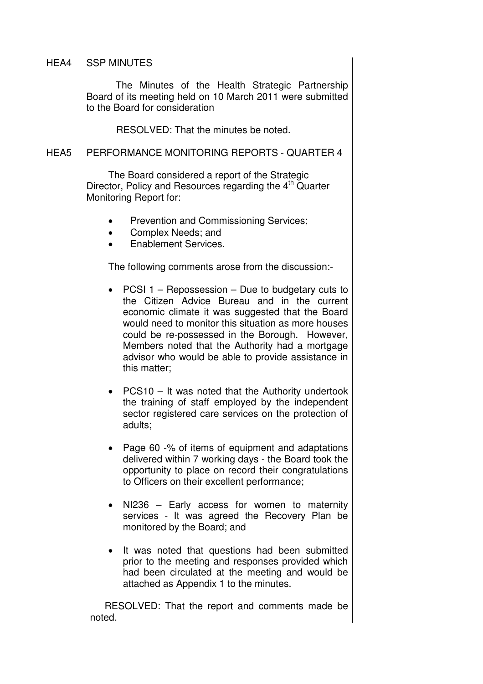### HEA4 SSP MINUTES

 The Minutes of the Health Strategic Partnership Board of its meeting held on 10 March 2011 were submitted to the Board for consideration

RESOLVED: That the minutes be noted.

## HEA5 PERFORMANCE MONITORING REPORTS - QUARTER 4

 The Board considered a report of the Strategic Director, Policy and Resources regarding the 4<sup>th</sup> Quarter Monitoring Report for:

- Prevention and Commissioning Services;
- Complex Needs; and
- Enablement Services.

The following comments arose from the discussion:-

- PCSI 1 Repossession Due to budgetary cuts to the Citizen Advice Bureau and in the current economic climate it was suggested that the Board would need to monitor this situation as more houses could be re-possessed in the Borough. However, Members noted that the Authority had a mortgage advisor who would be able to provide assistance in this matter;
- PCS10 It was noted that the Authority undertook the training of staff employed by the independent sector registered care services on the protection of adults;
- Page 60 -% of items of equipment and adaptations delivered within 7 working days - the Board took the opportunity to place on record their congratulations to Officers on their excellent performance;
- NI236 Early access for women to maternity services - It was agreed the Recovery Plan be monitored by the Board; and
- It was noted that questions had been submitted prior to the meeting and responses provided which had been circulated at the meeting and would be attached as Appendix 1 to the minutes.

RESOLVED: That the report and comments made be noted.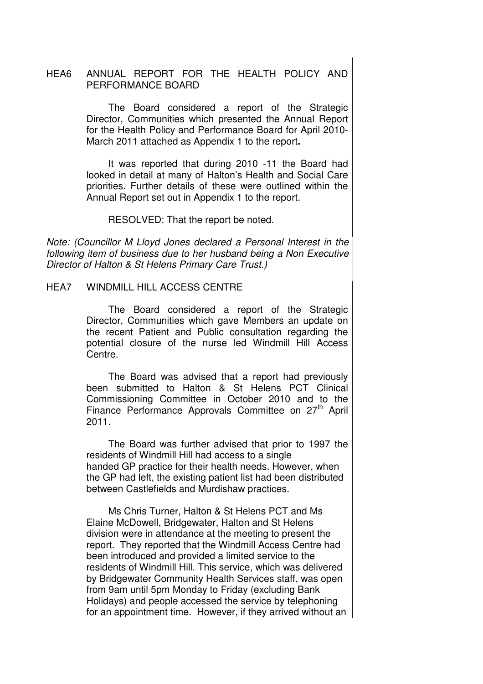## HEA6 ANNUAL REPORT FOR THE HEALTH POLICY AND PERFORMANCE BOARD

 The Board considered a report of the Strategic Director, Communities which presented the Annual Report for the Health Policy and Performance Board for April 2010- March 2011 attached as Appendix 1 to the report**.** 

It was reported that during 2010 -11 the Board had looked in detail at many of Halton's Health and Social Care priorities. Further details of these were outlined within the Annual Report set out in Appendix 1 to the report.

RESOLVED: That the report be noted.

Note: (Councillor M Lloyd Jones declared a Personal Interest in the following item of business due to her husband being a Non Executive Director of Halton & St Helens Primary Care Trust.)

HEA7 WINDMILL HILL ACCESS CENTRE

 The Board considered a report of the Strategic Director, Communities which gave Members an update on the recent Patient and Public consultation regarding the potential closure of the nurse led Windmill Hill Access Centre.

The Board was advised that a report had previously been submitted to Halton & St Helens PCT Clinical Commissioning Committee in October 2010 and to the Finance Performance Approvals Committee on 27<sup>th</sup> April 2011.

The Board was further advised that prior to 1997 the residents of Windmill Hill had access to a single handed GP practice for their health needs. However, when the GP had left, the existing patient list had been distributed between Castlefields and Murdishaw practices.

Ms Chris Turner, Halton & St Helens PCT and Ms Elaine McDowell, Bridgewater, Halton and St Helens division were in attendance at the meeting to present the report. They reported that the Windmill Access Centre had been introduced and provided a limited service to the residents of Windmill Hill. This service, which was delivered by Bridgewater Community Health Services staff, was open from 9am until 5pm Monday to Friday (excluding Bank Holidays) and people accessed the service by telephoning for an appointment time. However, if they arrived without an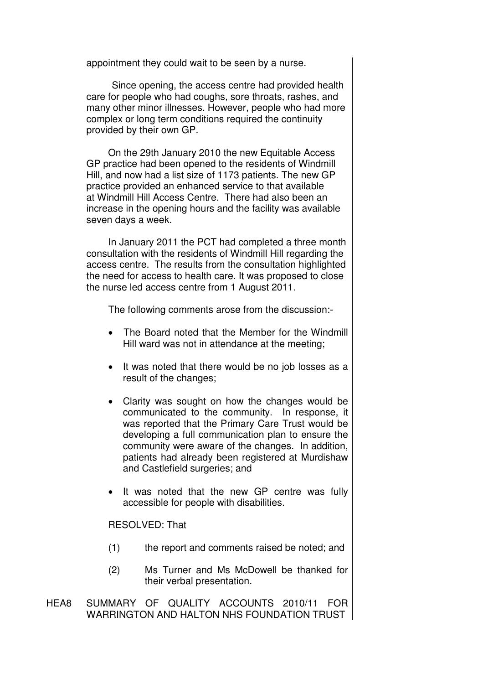appointment they could wait to be seen by a nurse.

Since opening, the access centre had provided health care for people who had coughs, sore throats, rashes, and many other minor illnesses. However, people who had more complex or long term conditions required the continuity provided by their own GP.

 On the 29th January 2010 the new Equitable Access GP practice had been opened to the residents of Windmill Hill, and now had a list size of 1173 patients. The new GP practice provided an enhanced service to that available at Windmill Hill Access Centre. There had also been an increase in the opening hours and the facility was available seven days a week.

In January 2011 the PCT had completed a three month consultation with the residents of Windmill Hill regarding the access centre. The results from the consultation highlighted the need for access to health care. It was proposed to close the nurse led access centre from 1 August 2011.

The following comments arose from the discussion:-

- The Board noted that the Member for the Windmill Hill ward was not in attendance at the meeting;
- It was noted that there would be no job losses as a result of the changes;
- Clarity was sought on how the changes would be communicated to the community. In response, it was reported that the Primary Care Trust would be developing a full communication plan to ensure the community were aware of the changes. In addition, patients had already been registered at Murdishaw and Castlefield surgeries; and
- It was noted that the new GP centre was fully accessible for people with disabilities.

RESOLVED: That

- (1) the report and comments raised be noted; and
- (2) Ms Turner and Ms McDowell be thanked for their verbal presentation.
- HEA8 SUMMARY OF QUALITY ACCOUNTS 2010/11 FOR WARRINGTON AND HALTON NHS FOUNDATION TRUST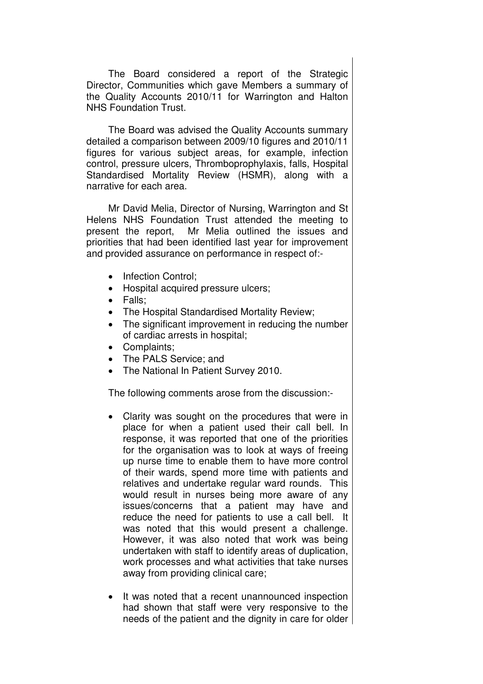The Board considered a report of the Strategic Director, Communities which gave Members a summary of the Quality Accounts 2010/11 for Warrington and Halton NHS Foundation Trust.

The Board was advised the Quality Accounts summary detailed a comparison between 2009/10 figures and 2010/11 figures for various subject areas, for example, infection control, pressure ulcers, Thromboprophylaxis, falls, Hospital Standardised Mortality Review (HSMR), along with a narrative for each area.

Mr David Melia, Director of Nursing, Warrington and St Helens NHS Foundation Trust attended the meeting to present the report, Mr Melia outlined the issues and priorities that had been identified last year for improvement and provided assurance on performance in respect of:-

- Infection Control:
- Hospital acquired pressure ulcers;
- Falls;
- The Hospital Standardised Mortality Review;
- The significant improvement in reducing the number of cardiac arrests in hospital;
- Complaints;
- The PALS Service; and
- The National In Patient Survey 2010.

The following comments arose from the discussion:-

- Clarity was sought on the procedures that were in place for when a patient used their call bell. In response, it was reported that one of the priorities for the organisation was to look at ways of freeing up nurse time to enable them to have more control of their wards, spend more time with patients and relatives and undertake regular ward rounds. This would result in nurses being more aware of any issues/concerns that a patient may have and reduce the need for patients to use a call bell. It was noted that this would present a challenge. However, it was also noted that work was being undertaken with staff to identify areas of duplication, work processes and what activities that take nurses away from providing clinical care;
- It was noted that a recent unannounced inspection had shown that staff were very responsive to the needs of the patient and the dignity in care for older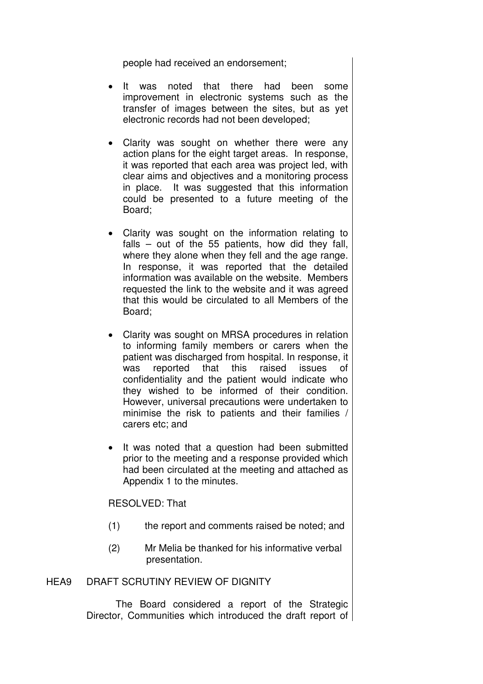people had received an endorsement;

- It was noted that there had been some improvement in electronic systems such as the transfer of images between the sites, but as yet electronic records had not been developed;
- Clarity was sought on whether there were any action plans for the eight target areas. In response, it was reported that each area was project led, with clear aims and objectives and a monitoring process in place. It was suggested that this information could be presented to a future meeting of the Board;
- Clarity was sought on the information relating to falls – out of the 55 patients, how did they fall, where they alone when they fell and the age range. In response, it was reported that the detailed information was available on the website. Members requested the link to the website and it was agreed that this would be circulated to all Members of the Board;
- Clarity was sought on MRSA procedures in relation to informing family members or carers when the patient was discharged from hospital. In response, it was reported that this raised issues of confidentiality and the patient would indicate who they wished to be informed of their condition. However, universal precautions were undertaken to minimise the risk to patients and their families / carers etc; and
- It was noted that a question had been submitted prior to the meeting and a response provided which had been circulated at the meeting and attached as Appendix 1 to the minutes.

RESOLVED: That

- (1) the report and comments raised be noted; and
- (2) Mr Melia be thanked for his informative verbal presentation.

## HEA9 DRAFT SCRUTINY REVIEW OF DIGNITY

 The Board considered a report of the Strategic Director, Communities which introduced the draft report of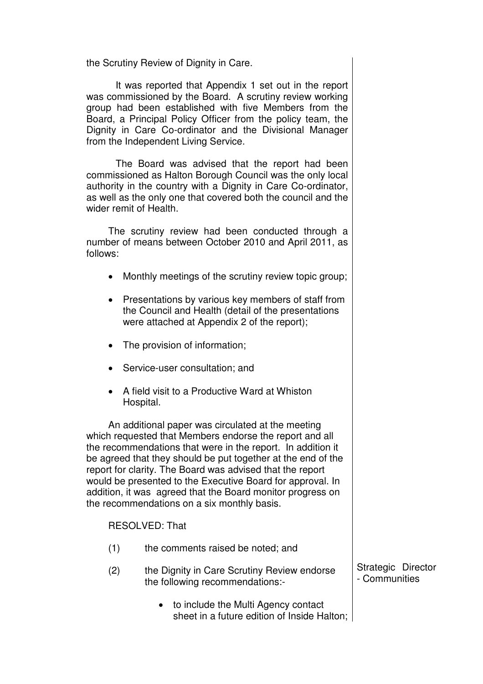the Scrutiny Review of Dignity in Care.

It was reported that Appendix 1 set out in the report was commissioned by the Board. A scrutiny review working group had been established with five Members from the Board, a Principal Policy Officer from the policy team, the Dignity in Care Co-ordinator and the Divisional Manager from the Independent Living Service.

The Board was advised that the report had been commissioned as Halton Borough Council was the only local authority in the country with a Dignity in Care Co-ordinator, as well as the only one that covered both the council and the wider remit of Health.

The scrutiny review had been conducted through a number of means between October 2010 and April 2011, as follows:

- Monthly meetings of the scrutiny review topic group;
- Presentations by various key members of staff from the Council and Health (detail of the presentations were attached at Appendix 2 of the report);
- The provision of information;
- Service-user consultation; and
- A field visit to a Productive Ward at Whiston Hospital.

An additional paper was circulated at the meeting which requested that Members endorse the report and all the recommendations that were in the report. In addition it be agreed that they should be put together at the end of the report for clarity. The Board was advised that the report would be presented to the Executive Board for approval. In addition, it was agreed that the Board monitor progress on the recommendations on a six monthly basis.

### RESOLVED: That

- (1) the comments raised be noted; and
- (2) the Dignity in Care Scrutiny Review endorse the following recommendations:-
	- to include the Multi Agency contact sheet in a future edition of Inside Halton;

Strategic Director - Communities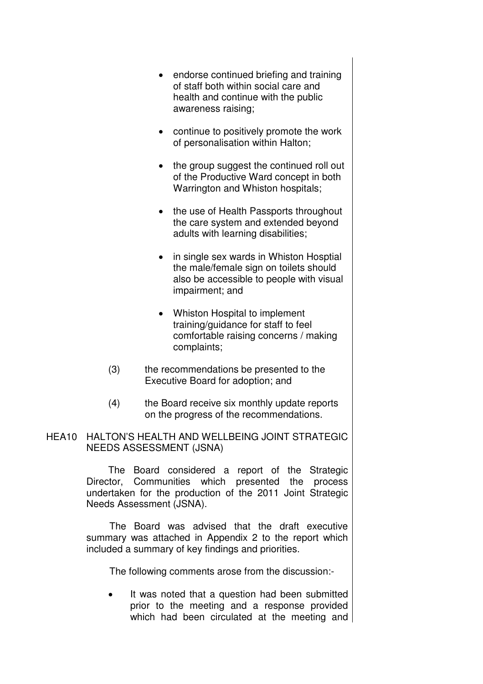- endorse continued briefing and training of staff both within social care and health and continue with the public awareness raising;
- continue to positively promote the work of personalisation within Halton;
- the group suggest the continued roll out of the Productive Ward concept in both Warrington and Whiston hospitals;
- the use of Health Passports throughout the care system and extended beyond adults with learning disabilities;
- in single sex wards in Whiston Hosptial the male/female sign on toilets should also be accessible to people with visual impairment; and
- Whiston Hospital to implement training/guidance for staff to feel comfortable raising concerns / making complaints;
- (3) the recommendations be presented to the Executive Board for adoption; and
- (4) the Board receive six monthly update reports on the progress of the recommendations.
- HEA10 HALTON'S HEALTH AND WELLBEING JOINT STRATEGIC NEEDS ASSESSMENT (JSNA)

 The Board considered a report of the Strategic Director, Communities which presented the process undertaken for the production of the 2011 Joint Strategic Needs Assessment (JSNA).

 The Board was advised that the draft executive summary was attached in Appendix 2 to the report which included a summary of key findings and priorities.

The following comments arose from the discussion:-

It was noted that a question had been submitted prior to the meeting and a response provided which had been circulated at the meeting and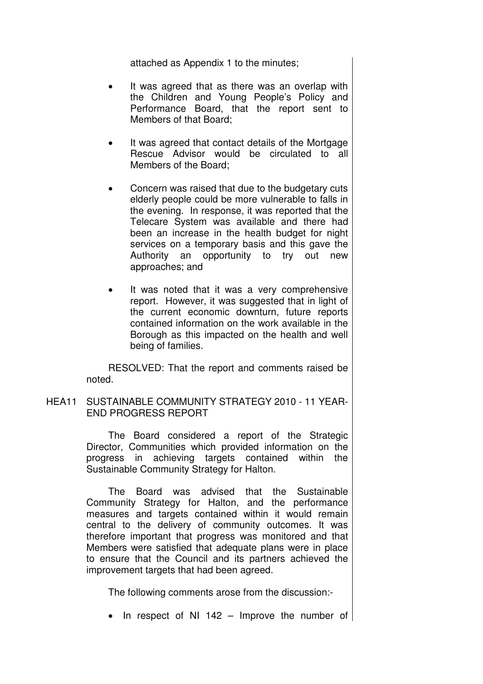attached as Appendix 1 to the minutes;

- It was agreed that as there was an overlap with the Children and Young People's Policy and Performance Board, that the report sent to Members of that Board;
- It was agreed that contact details of the Mortgage Rescue Advisor would be circulated to all Members of the Board;
- Concern was raised that due to the budgetary cuts elderly people could be more vulnerable to falls in the evening. In response, it was reported that the Telecare System was available and there had been an increase in the health budget for night services on a temporary basis and this gave the Authority an opportunity to try out new approaches; and
- It was noted that it was a very comprehensive report. However, it was suggested that in light of the current economic downturn, future reports contained information on the work available in the Borough as this impacted on the health and well being of families.

RESOLVED: That the report and comments raised be noted.

HEA11 SUSTAINABLE COMMUNITY STRATEGY 2010 - 11 YEAR-END PROGRESS REPORT

> The Board considered a report of the Strategic Director, Communities which provided information on the progress in achieving targets contained within the Sustainable Community Strategy for Halton.

> The Board was advised that the Sustainable Community Strategy for Halton, and the performance measures and targets contained within it would remain central to the delivery of community outcomes. It was therefore important that progress was monitored and that Members were satisfied that adequate plans were in place to ensure that the Council and its partners achieved the improvement targets that had been agreed.

The following comments arose from the discussion:-

• In respect of NI 142 – Improve the number of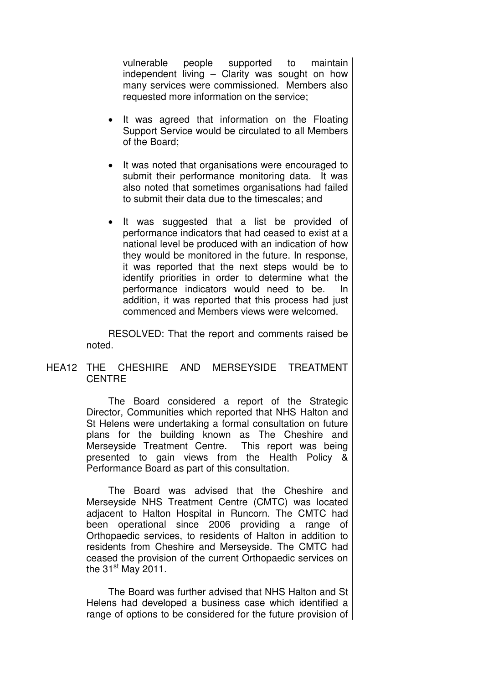vulnerable people supported to maintain independent living – Clarity was sought on how many services were commissioned. Members also requested more information on the service;

- It was agreed that information on the Floating Support Service would be circulated to all Members of the Board;
- It was noted that organisations were encouraged to submit their performance monitoring data. It was also noted that sometimes organisations had failed to submit their data due to the timescales; and
- It was suggested that a list be provided of performance indicators that had ceased to exist at a national level be produced with an indication of how they would be monitored in the future. In response, it was reported that the next steps would be to identify priorities in order to determine what the performance indicators would need to be. In addition, it was reported that this process had just commenced and Members views were welcomed.

RESOLVED: That the report and comments raised be noted.

## HEA12 THE CHESHIRE AND MERSEYSIDE TREATMENT **CENTRE**

 The Board considered a report of the Strategic Director, Communities which reported that NHS Halton and St Helens were undertaking a formal consultation on future plans for the building known as The Cheshire and Merseyside Treatment Centre. This report was being presented to gain views from the Health Policy & Performance Board as part of this consultation.

The Board was advised that the Cheshire and Merseyside NHS Treatment Centre (CMTC) was located adjacent to Halton Hospital in Runcorn. The CMTC had been operational since 2006 providing a range of Orthopaedic services, to residents of Halton in addition to residents from Cheshire and Merseyside. The CMTC had ceased the provision of the current Orthopaedic services on the  $31<sup>st</sup>$  May 2011.

The Board was further advised that NHS Halton and St Helens had developed a business case which identified a range of options to be considered for the future provision of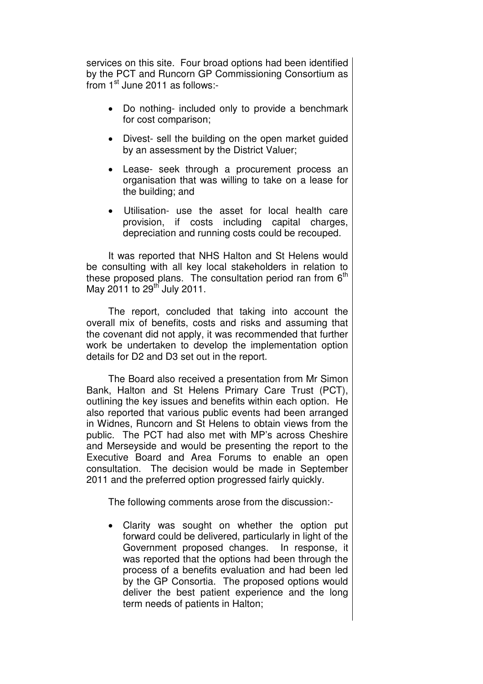services on this site. Four broad options had been identified by the PCT and Runcorn GP Commissioning Consortium as from 1<sup>st</sup> June 2011 as follows:-

- Do nothing- included only to provide a benchmark for cost comparison;
- Divest- sell the building on the open market guided by an assessment by the District Valuer;
- Lease- seek through a procurement process an organisation that was willing to take on a lease for the building; and
- Utilisation- use the asset for local health care provision, if costs including capital charges, depreciation and running costs could be recouped.

It was reported that NHS Halton and St Helens would be consulting with all key local stakeholders in relation to these proposed plans. The consultation period ran from  $6<sup>th</sup>$ May 2011 to 29<sup>th</sup> July 2011.

The report, concluded that taking into account the overall mix of benefits, costs and risks and assuming that the covenant did not apply, it was recommended that further work be undertaken to develop the implementation option details for D2 and D3 set out in the report.

The Board also received a presentation from Mr Simon Bank, Halton and St Helens Primary Care Trust (PCT), outlining the key issues and benefits within each option. He also reported that various public events had been arranged in Widnes, Runcorn and St Helens to obtain views from the public. The PCT had also met with MP's across Cheshire and Merseyside and would be presenting the report to the Executive Board and Area Forums to enable an open consultation. The decision would be made in September 2011 and the preferred option progressed fairly quickly.

The following comments arose from the discussion:-

• Clarity was sought on whether the option put forward could be delivered, particularly in light of the Government proposed changes. In response, it was reported that the options had been through the process of a benefits evaluation and had been led by the GP Consortia. The proposed options would deliver the best patient experience and the long term needs of patients in Halton;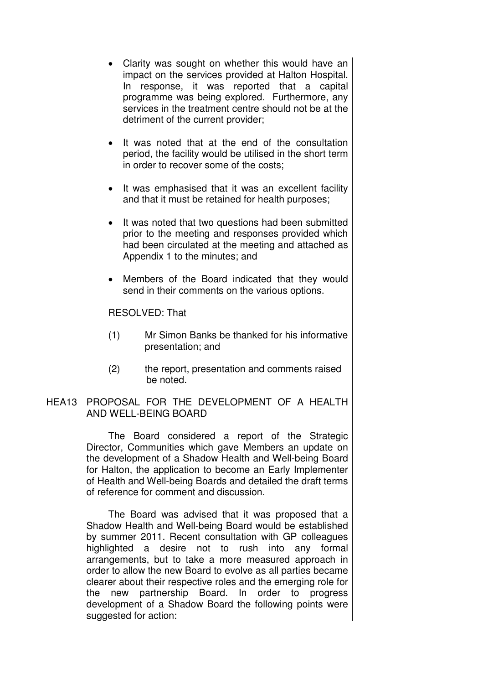- Clarity was sought on whether this would have an impact on the services provided at Halton Hospital. In response, it was reported that a capital programme was being explored. Furthermore, any services in the treatment centre should not be at the detriment of the current provider;
- It was noted that at the end of the consultation period, the facility would be utilised in the short term in order to recover some of the costs;
- It was emphasised that it was an excellent facility and that it must be retained for health purposes;
- It was noted that two questions had been submitted prior to the meeting and responses provided which had been circulated at the meeting and attached as Appendix 1 to the minutes; and
- Members of the Board indicated that they would send in their comments on the various options.

RESOLVED: That

- (1) Mr Simon Banks be thanked for his informative presentation; and
- (2) the report, presentation and comments raised be noted.

# HEA13 PROPOSAL FOR THE DEVELOPMENT OF A HEALTH AND WELL-BEING BOARD

 The Board considered a report of the Strategic Director, Communities which gave Members an update on the development of a Shadow Health and Well-being Board for Halton, the application to become an Early Implementer of Health and Well-being Boards and detailed the draft terms of reference for comment and discussion.

The Board was advised that it was proposed that a Shadow Health and Well-being Board would be established by summer 2011. Recent consultation with GP colleagues highlighted a desire not to rush into any formal arrangements, but to take a more measured approach in order to allow the new Board to evolve as all parties became clearer about their respective roles and the emerging role for the new partnership Board. In order to progress development of a Shadow Board the following points were suggested for action: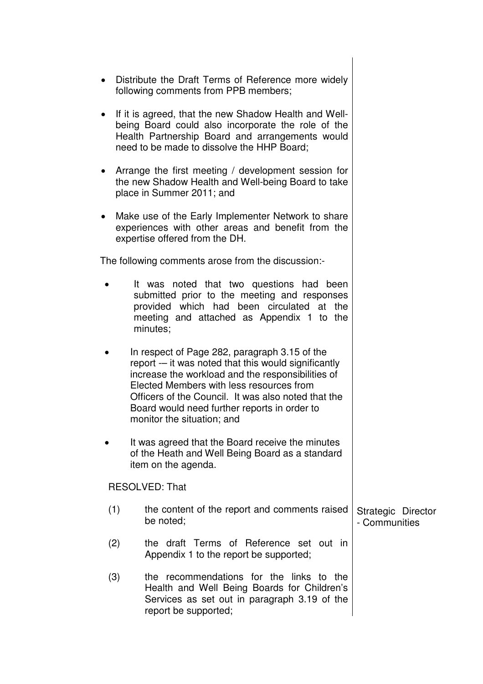- Distribute the Draft Terms of Reference more widely following comments from PPB members;
- If it is agreed, that the new Shadow Health and Wellbeing Board could also incorporate the role of the Health Partnership Board and arrangements would need to be made to dissolve the HHP Board;
- Arrange the first meeting / development session for the new Shadow Health and Well-being Board to take place in Summer 2011; and
- Make use of the Early Implementer Network to share experiences with other areas and benefit from the expertise offered from the DH.

The following comments arose from the discussion:-

- It was noted that two questions had been submitted prior to the meeting and responses provided which had been circulated at the meeting and attached as Appendix 1 to the minutes;
- In respect of Page 282, paragraph 3.15 of the report -– it was noted that this would significantly increase the workload and the responsibilities of Elected Members with less resources from Officers of the Council. It was also noted that the Board would need further reports in order to monitor the situation; and
- It was agreed that the Board receive the minutes of the Heath and Well Being Board as a standard item on the agenda.

RESOLVED: That

- (1) the content of the report and comments raised be noted; Strategic Director - Communities
- (2) the draft Terms of Reference set out in Appendix 1 to the report be supported;
- (3) the recommendations for the links to the Health and Well Being Boards for Children's Services as set out in paragraph 3.19 of the report be supported;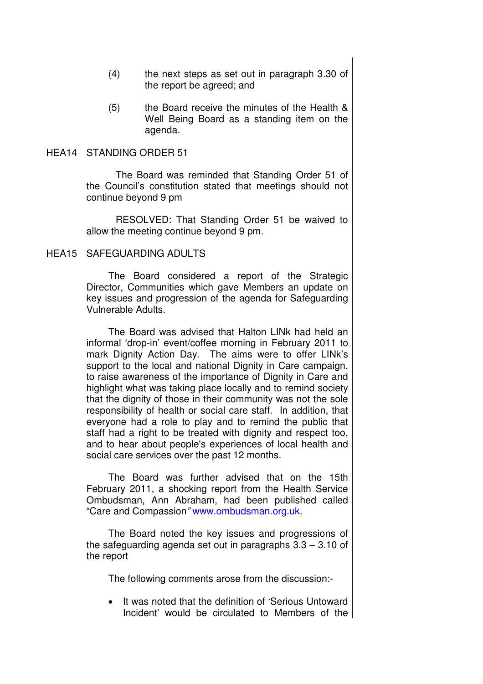- (4) the next steps as set out in paragraph 3.30 of the report be agreed; and
- (5) the Board receive the minutes of the Health & Well Being Board as a standing item on the agenda.

#### HEA14 STANDING ORDER 51

 The Board was reminded that Standing Order 51 of the Council's constitution stated that meetings should not continue beyond 9 pm

RESOLVED: That Standing Order 51 be waived to allow the meeting continue beyond 9 pm.

#### HEA15 SAFEGUARDING ADULTS

 The Board considered a report of the Strategic Director, Communities which gave Members an update on key issues and progression of the agenda for Safeguarding Vulnerable Adults.

The Board was advised that Halton LINk had held an informal 'drop-in' event/coffee morning in February 2011 to mark Dignity Action Day. The aims were to offer LINk's support to the local and national Dignity in Care campaign, to raise awareness of the importance of Dignity in Care and highlight what was taking place locally and to remind society that the dignity of those in their community was not the sole responsibility of health or social care staff. In addition, that everyone had a role to play and to remind the public that staff had a right to be treated with dignity and respect too, and to hear about people's experiences of local health and social care services over the past 12 months.

The Board was further advised that on the 15th February 2011, a shocking report from the Health Service Ombudsman, Ann Abraham, had been published called "Care and Compassion" www.ombudsman.org.uk.

The Board noted the key issues and progressions of the safeguarding agenda set out in paragraphs 3.3 – 3.10 of the report

The following comments arose from the discussion:-

It was noted that the definition of 'Serious Untoward Incident' would be circulated to Members of the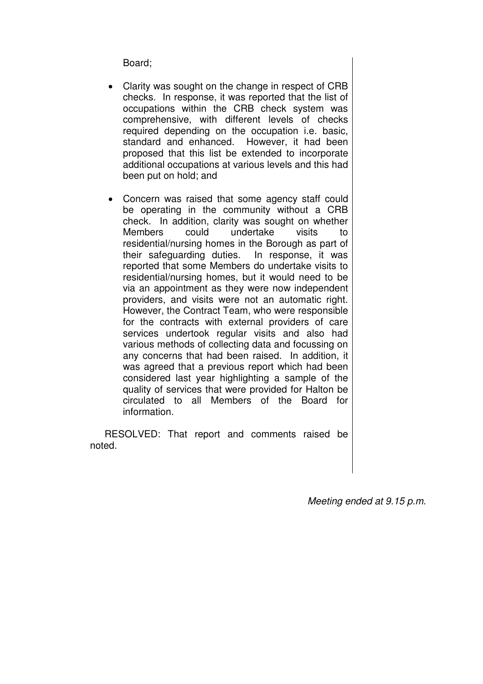Board;

- Clarity was sought on the change in respect of CRB checks. In response, it was reported that the list of occupations within the CRB check system was comprehensive, with different levels of checks required depending on the occupation i.e. basic, standard and enhanced. However, it had been proposed that this list be extended to incorporate additional occupations at various levels and this had been put on hold; and
- Concern was raised that some agency staff could be operating in the community without a CRB check. In addition, clarity was sought on whether Members could undertake visits to residential/nursing homes in the Borough as part of their safeguarding duties. In response, it was reported that some Members do undertake visits to residential/nursing homes, but it would need to be via an appointment as they were now independent providers, and visits were not an automatic right. However, the Contract Team, who were responsible for the contracts with external providers of care services undertook regular visits and also had various methods of collecting data and focussing on any concerns that had been raised. In addition, it was agreed that a previous report which had been considered last year highlighting a sample of the quality of services that were provided for Halton be circulated to all Members of the Board for information.

RESOLVED: That report and comments raised be noted.

Meeting ended at 9.15 p.m.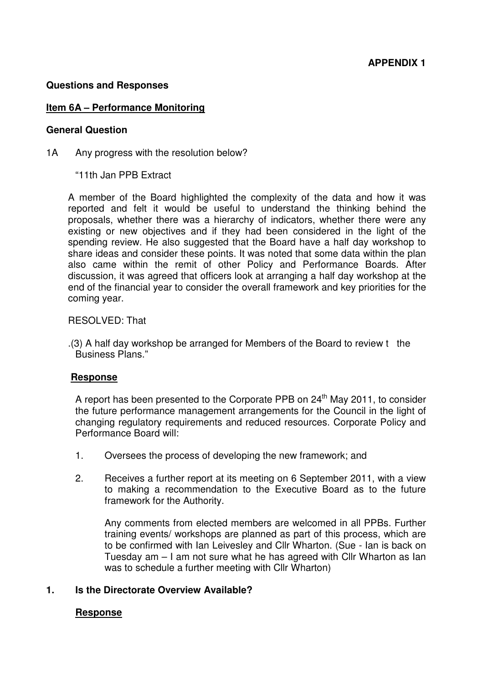## **Questions and Responses**

## **Item 6A – Performance Monitoring**

### **General Question**

- 1A Any progress with the resolution below?
	- "11th Jan PPB Extract

A member of the Board highlighted the complexity of the data and how it was reported and felt it would be useful to understand the thinking behind the proposals, whether there was a hierarchy of indicators, whether there were any existing or new objectives and if they had been considered in the light of the spending review. He also suggested that the Board have a half day workshop to share ideas and consider these points. It was noted that some data within the plan also came within the remit of other Policy and Performance Boards. After discussion, it was agreed that officers look at arranging a half day workshop at the end of the financial year to consider the overall framework and key priorities for the coming year.

## RESOLVED: That

.(3) A half day workshop be arranged for Members of the Board to review t the Business Plans."

### **Response**

A report has been presented to the Corporate PPB on  $24<sup>th</sup>$  May 2011, to consider the future performance management arrangements for the Council in the light of changing regulatory requirements and reduced resources. Corporate Policy and Performance Board will:

- 1. Oversees the process of developing the new framework; and
- 2. Receives a further report at its meeting on 6 September 2011, with a view to making a recommendation to the Executive Board as to the future framework for the Authority.

Any comments from elected members are welcomed in all PPBs. Further training events/ workshops are planned as part of this process, which are to be confirmed with Ian Leivesley and Cllr Wharton. (Sue - Ian is back on Tuesday am – I am not sure what he has agreed with Cllr Wharton as Ian was to schedule a further meeting with Cllr Wharton)

## **1. Is the Directorate Overview Available?**

## **Response**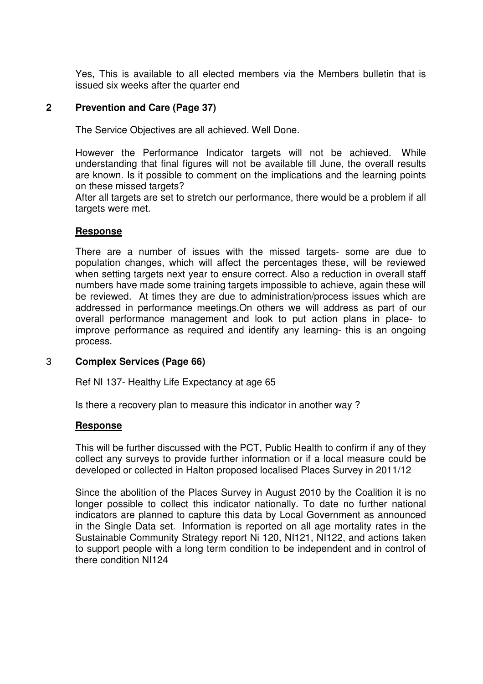Yes, This is available to all elected members via the Members bulletin that is issued six weeks after the quarter end

## **2 Prevention and Care (Page 37)**

The Service Objectives are all achieved. Well Done.

However the Performance Indicator targets will not be achieved. While understanding that final figures will not be available till June, the overall results are known. Is it possible to comment on the implications and the learning points on these missed targets?

After all targets are set to stretch our performance, there would be a problem if all targets were met.

## **Response**

There are a number of issues with the missed targets- some are due to population changes, which will affect the percentages these, will be reviewed when setting targets next year to ensure correct. Also a reduction in overall staff numbers have made some training targets impossible to achieve, again these will be reviewed. At times they are due to administration/process issues which are addressed in performance meetings.On others we will address as part of our overall performance management and look to put action plans in place- to improve performance as required and identify any learning- this is an ongoing process.

## 3 **Complex Services (Page 66)**

Ref NI 137- Healthy Life Expectancy at age 65

Is there a recovery plan to measure this indicator in another way ?

### **Response**

This will be further discussed with the PCT, Public Health to confirm if any of they collect any surveys to provide further information or if a local measure could be developed or collected in Halton proposed localised Places Survey in 2011/12

Since the abolition of the Places Survey in August 2010 by the Coalition it is no longer possible to collect this indicator nationally. To date no further national indicators are planned to capture this data by Local Government as announced in the Single Data set. Information is reported on all age mortality rates in the Sustainable Community Strategy report Ni 120, NI121, NI122, and actions taken to support people with a long term condition to be independent and in control of there condition NI124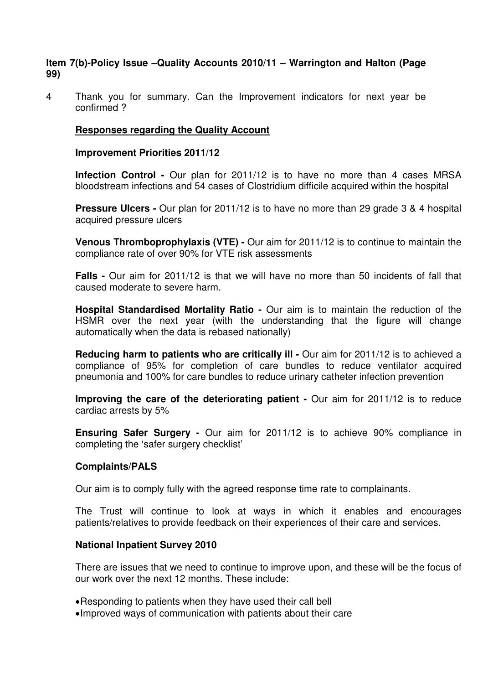## **Item 7(b)-Policy Issue –Quality Accounts 2010/11 – Warrington and Halton (Page 99)**

4 Thank you for summary. Can the Improvement indicators for next year be confirmed ?

## **Responses regarding the Quality Account**

### **Improvement Priorities 2011/12**

**Infection Control -** Our plan for 2011/12 is to have no more than 4 cases MRSA bloodstream infections and 54 cases of Clostridium difficile acquired within the hospital

**Pressure Ulcers -** Our plan for 2011/12 is to have no more than 29 grade 3 & 4 hospital acquired pressure ulcers

**Venous Thromboprophylaxis (VTE) -** Our aim for 2011/12 is to continue to maintain the compliance rate of over 90% for VTE risk assessments

**Falls -** Our aim for 2011/12 is that we will have no more than 50 incidents of fall that caused moderate to severe harm.

**Hospital Standardised Mortality Ratio -** Our aim is to maintain the reduction of the HSMR over the next year (with the understanding that the figure will change automatically when the data is rebased nationally)

**Reducing harm to patients who are critically ill - Our aim for 2011/12 is to achieved a** compliance of 95% for completion of care bundles to reduce ventilator acquired pneumonia and 100% for care bundles to reduce urinary catheter infection prevention

**Improving the care of the deteriorating patient -** Our aim for 2011/12 is to reduce cardiac arrests by 5%

**Ensuring Safer Surgery -** Our aim for 2011/12 is to achieve 90% compliance in completing the 'safer surgery checklist'

### **Complaints/PALS**

Our aim is to comply fully with the agreed response time rate to complainants.

The Trust will continue to look at ways in which it enables and encourages patients/relatives to provide feedback on their experiences of their care and services.

### **National Inpatient Survey 2010**

There are issues that we need to continue to improve upon, and these will be the focus of our work over the next 12 months. These include:

- Responding to patients when they have used their call bell
- Improved ways of communication with patients about their care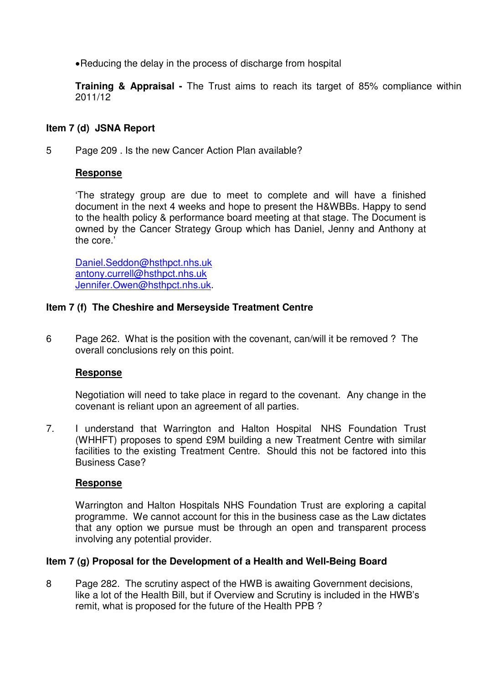• Reducing the delay in the process of discharge from hospital

**Training & Appraisal -** The Trust aims to reach its target of 85% compliance within 2011/12

## **Item 7 (d) JSNA Report**

5 Page 209 . Is the new Cancer Action Plan available?

## **Response**

'The strategy group are due to meet to complete and will have a finished document in the next 4 weeks and hope to present the H&WBBs. Happy to send to the health policy & performance board meeting at that stage. The Document is owned by the Cancer Strategy Group which has Daniel, Jenny and Anthony at the core.'

Daniel.Seddon@hsthpct.nhs.uk antony.currell@hsthpct.nhs.uk Jennifer.Owen@hsthpct.nhs.uk.

## **Item 7 (f) The Cheshire and Merseyside Treatment Centre**

6 Page 262. What is the position with the covenant, can/will it be removed ? The overall conclusions rely on this point.

## **Response**

Negotiation will need to take place in regard to the covenant. Any change in the covenant is reliant upon an agreement of all parties.

7. I understand that Warrington and Halton Hospital NHS Foundation Trust (WHHFT) proposes to spend £9M building a new Treatment Centre with similar facilities to the existing Treatment Centre. Should this not be factored into this Business Case?

## **Response**

Warrington and Halton Hospitals NHS Foundation Trust are exploring a capital programme. We cannot account for this in the business case as the Law dictates that any option we pursue must be through an open and transparent process involving any potential provider.

## **Item 7 (g) Proposal for the Development of a Health and Well-Being Board**

8 Page 282. The scrutiny aspect of the HWB is awaiting Government decisions, like a lot of the Health Bill, but if Overview and Scrutiny is included in the HWB's remit, what is proposed for the future of the Health PPB ?